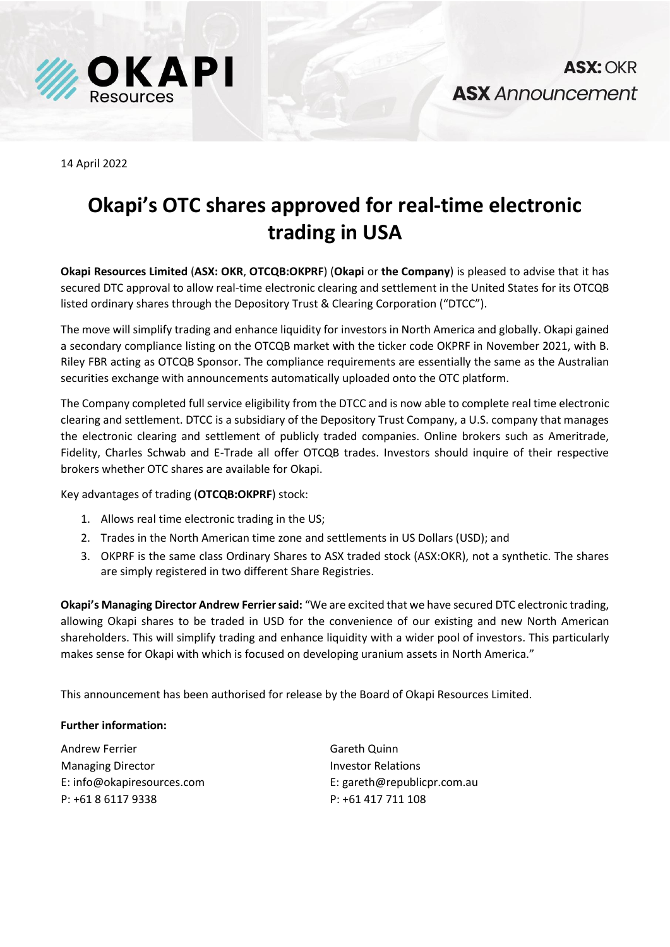

14 April 2022

## **Okapi's OTC shares approved for real-time electronic trading in USA**

**Okapi Resources Limited** (**ASX: OKR**, **OTCQB:OKPRF**) (**Okapi** or **the Company**) is pleased to advise that it has secured DTC approval to allow real-time electronic clearing and settlement in the United States for its OTCQB listed ordinary shares through the Depository Trust & Clearing Corporation ("DTCC").

The move will simplify trading and enhance liquidity for investors in North America and globally. Okapi gained a secondary compliance listing on the OTCQB market with the ticker code OKPRF in November 2021, with B. Riley FBR acting as OTCQB Sponsor. The compliance requirements are essentially the same as the Australian securities exchange with announcements automatically uploaded onto the OTC platform.

The Company completed full service eligibility from the DTCC and is now able to complete real time electronic clearing and settlement. DTCC is a subsidiary of the Depository Trust Company, a U.S. company that manages the electronic clearing and settlement of publicly traded companies. Online brokers such as Ameritrade, Fidelity, Charles Schwab and E-Trade all offer OTCQB trades. Investors should inquire of their respective brokers whether OTC shares are available for Okapi.

Key advantages of trading (**OTCQB:OKPRF**) stock:

- 1. Allows real time electronic trading in the US;
- 2. Trades in the North American time zone and settlements in US Dollars (USD); and
- 3. OKPRF is the same class Ordinary Shares to ASX traded stock (ASX:OKR), not a synthetic. The shares are simply registered in two different Share Registries.

**Okapi's Managing Director Andrew Ferrier said:** "We are excited that we have secured DTC electronic trading, allowing Okapi shares to be traded in USD for the convenience of our existing and new North American shareholders. This will simplify trading and enhance liquidity with a wider pool of investors. This particularly makes sense for Okapi with which is focused on developing uranium assets in North America."

This announcement has been authorised for release by the Board of Okapi Resources Limited.

## **Further information:**

Andrew Ferrier Managing Director E: info@okapiresources.com P: +61 8 6117 9338

Gareth Quinn Investor Relations E: gareth@republicpr.com.au P: +61 417 711 108